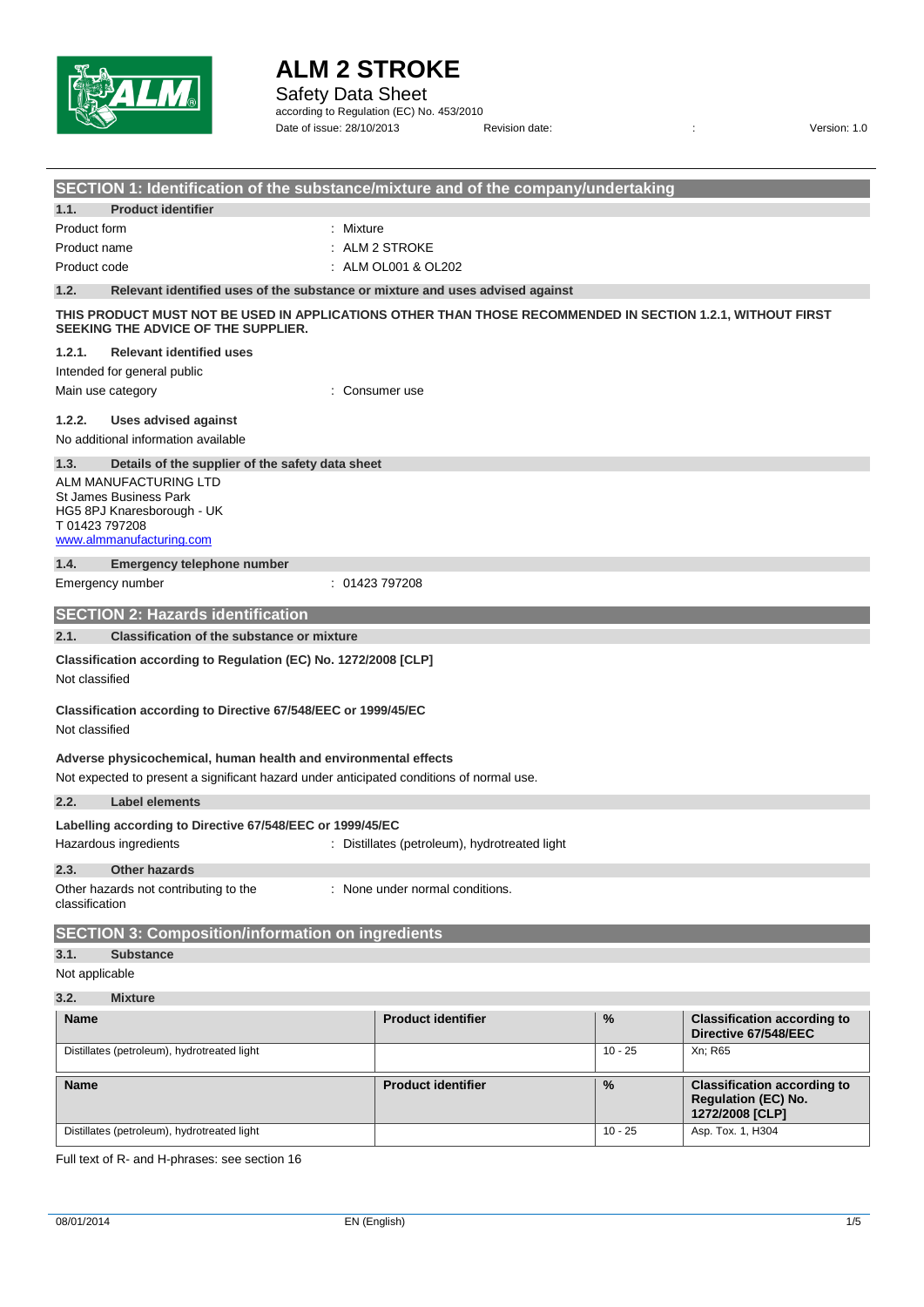

Safety Data Sheet

according to Regulation (EC) No. 453/2010 Date of issue: 28/10/2013 Revision date: <br>
Revision date:  $\frac{1}{2}$  Revision date:

| SECTION 1: Identification of the substance/mixture and of the company/undertaking                                                                           |                                               |           |                                                                                     |  |  |
|-------------------------------------------------------------------------------------------------------------------------------------------------------------|-----------------------------------------------|-----------|-------------------------------------------------------------------------------------|--|--|
| 1.1.<br><b>Product identifier</b>                                                                                                                           |                                               |           |                                                                                     |  |  |
| : Mixture<br><b>Product form</b>                                                                                                                            |                                               |           |                                                                                     |  |  |
| ALM 2 STROKE<br>Product name                                                                                                                                |                                               |           |                                                                                     |  |  |
| : ALM OL001 & OL202<br>Product code                                                                                                                         |                                               |           |                                                                                     |  |  |
| 1.2.<br>Relevant identified uses of the substance or mixture and uses advised against                                                                       |                                               |           |                                                                                     |  |  |
| THIS PRODUCT MUST NOT BE USED IN APPLICATIONS OTHER THAN THOSE RECOMMENDED IN SECTION 1.2.1, WITHOUT FIRST<br>SEEKING THE ADVICE OF THE SUPPLIER.           |                                               |           |                                                                                     |  |  |
| 1.2.1.<br><b>Relevant identified uses</b>                                                                                                                   |                                               |           |                                                                                     |  |  |
| Intended for general public                                                                                                                                 |                                               |           |                                                                                     |  |  |
| Main use category                                                                                                                                           | Consumer use                                  |           |                                                                                     |  |  |
| 1.2.2.<br><b>Uses advised against</b>                                                                                                                       |                                               |           |                                                                                     |  |  |
| No additional information available                                                                                                                         |                                               |           |                                                                                     |  |  |
| Details of the supplier of the safety data sheet<br>1.3.                                                                                                    |                                               |           |                                                                                     |  |  |
| ALM MANUFACTURING LTD<br>St James Business Park<br>HG5 8PJ Knaresborough - UK<br>T 01423 797208<br>www.almmanufacturing.com                                 |                                               |           |                                                                                     |  |  |
| 1.4.<br>Emergency telephone number                                                                                                                          |                                               |           |                                                                                     |  |  |
| Emergency number<br>: 01423797208                                                                                                                           |                                               |           |                                                                                     |  |  |
| <b>SECTION 2: Hazards identification</b>                                                                                                                    |                                               |           |                                                                                     |  |  |
| 2.1.<br><b>Classification of the substance or mixture</b>                                                                                                   |                                               |           |                                                                                     |  |  |
| Classification according to Regulation (EC) No. 1272/2008 [CLP]<br>Not classified                                                                           |                                               |           |                                                                                     |  |  |
| Classification according to Directive 67/548/EEC or 1999/45/EC<br>Not classified                                                                            |                                               |           |                                                                                     |  |  |
| Adverse physicochemical, human health and environmental effects<br>Not expected to present a significant hazard under anticipated conditions of normal use. |                                               |           |                                                                                     |  |  |
| 2.2.<br><b>Label elements</b>                                                                                                                               |                                               |           |                                                                                     |  |  |
| Labelling according to Directive 67/548/EEC or 1999/45/EC<br>Hazardous ingredients                                                                          | : Distillates (petroleum), hydrotreated light |           |                                                                                     |  |  |
| 2.3.<br><b>Other hazards</b>                                                                                                                                |                                               |           |                                                                                     |  |  |
| Other hazards not contributing to the<br>classification                                                                                                     | : None under normal conditions.               |           |                                                                                     |  |  |
| <b>SECTION 3: Composition/information on ingredients</b>                                                                                                    |                                               |           |                                                                                     |  |  |
| 3.1.<br><b>Substance</b>                                                                                                                                    |                                               |           |                                                                                     |  |  |
| Not applicable                                                                                                                                              |                                               |           |                                                                                     |  |  |
| 3.2.<br><b>Mixture</b>                                                                                                                                      |                                               |           |                                                                                     |  |  |
| <b>Name</b>                                                                                                                                                 | <b>Product identifier</b>                     | %         | <b>Classification according to</b><br>Directive 67/548/EEC                          |  |  |
| Distillates (petroleum), hydrotreated light                                                                                                                 |                                               | $10 - 25$ | Xn; R65                                                                             |  |  |
| <b>Name</b>                                                                                                                                                 | <b>Product identifier</b>                     | %         | <b>Classification according to</b><br><b>Regulation (EC) No.</b><br>1272/2008 [CLP] |  |  |
| Distillates (petroleum), hydrotreated light                                                                                                                 |                                               | $10 - 25$ | Asp. Tox. 1, H304                                                                   |  |  |

Full text of R- and H-phrases: see section 16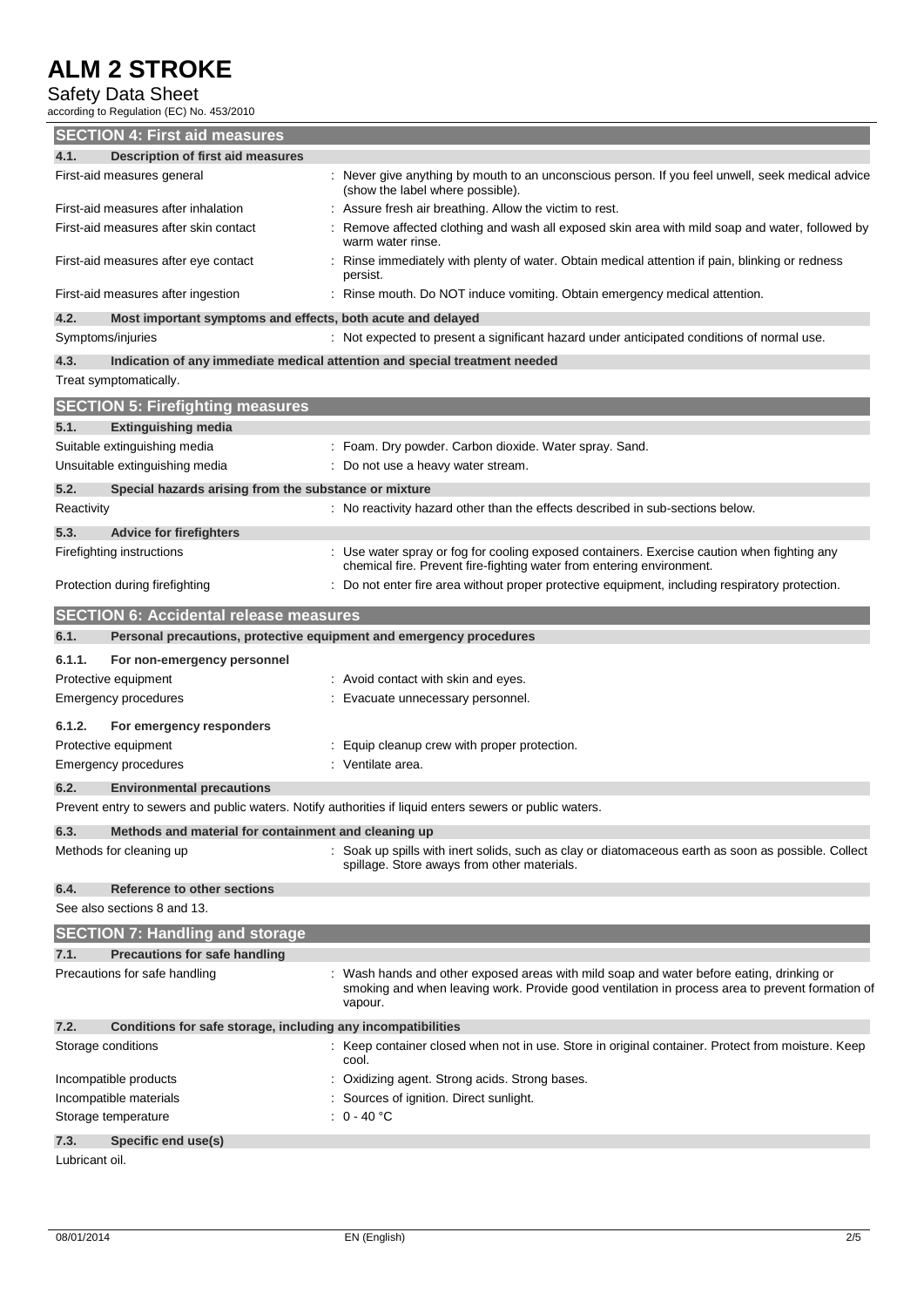# Safety Data Sheet

according to Regulation (EC) No. 453/2010

|                    | <b>SECTION 4: First aid measures</b>                                  |                                                                                                                                                                    |
|--------------------|-----------------------------------------------------------------------|--------------------------------------------------------------------------------------------------------------------------------------------------------------------|
| 4.1.               | <b>Description of first aid measures</b>                              |                                                                                                                                                                    |
|                    | First-aid measures general                                            | : Never give anything by mouth to an unconscious person. If you feel unwell, seek medical advice<br>(show the label where possible).                               |
|                    | First-aid measures after inhalation                                   | Assure fresh air breathing. Allow the victim to rest.                                                                                                              |
|                    | First-aid measures after skin contact                                 | Remove affected clothing and wash all exposed skin area with mild soap and water, followed by<br>warm water rinse.                                                 |
|                    | First-aid measures after eye contact                                  | Rinse immediately with plenty of water. Obtain medical attention if pain, blinking or redness<br>persist.                                                          |
|                    | First-aid measures after ingestion                                    | Rinse mouth. Do NOT induce vomiting. Obtain emergency medical attention.                                                                                           |
| 4.2.               | Most important symptoms and effects, both acute and delayed           |                                                                                                                                                                    |
| Symptoms/injuries  |                                                                       | : Not expected to present a significant hazard under anticipated conditions of normal use.                                                                         |
| 4.3.               |                                                                       | Indication of any immediate medical attention and special treatment needed                                                                                         |
|                    | Treat symptomatically.                                                |                                                                                                                                                                    |
|                    | <b>SECTION 5: Firefighting measures</b>                               |                                                                                                                                                                    |
| 5.1.               | <b>Extinguishing media</b>                                            |                                                                                                                                                                    |
|                    | Suitable extinguishing media                                          | : Foam. Dry powder. Carbon dioxide. Water spray. Sand.                                                                                                             |
|                    | Unsuitable extinguishing media                                        | : Do not use a heavy water stream.                                                                                                                                 |
| 5.2.               | Special hazards arising from the substance or mixture                 |                                                                                                                                                                    |
| Reactivity         |                                                                       | : No reactivity hazard other than the effects described in sub-sections below.                                                                                     |
| 5.3.               | <b>Advice for firefighters</b>                                        |                                                                                                                                                                    |
|                    | Firefighting instructions                                             | Use water spray or fog for cooling exposed containers. Exercise caution when fighting any<br>chemical fire. Prevent fire-fighting water from entering environment. |
|                    | Protection during firefighting                                        | Do not enter fire area without proper protective equipment, including respiratory protection.                                                                      |
|                    | <b>SECTION 6: Accidental release measures</b>                         |                                                                                                                                                                    |
| 6.1.               | Personal precautions, protective equipment and emergency procedures   |                                                                                                                                                                    |
|                    |                                                                       |                                                                                                                                                                    |
| 6.1.1.             | For non-emergency personnel                                           |                                                                                                                                                                    |
|                    | Protective equipment                                                  | : Avoid contact with skin and eyes.                                                                                                                                |
|                    | <b>Emergency procedures</b>                                           | : Evacuate unnecessary personnel.                                                                                                                                  |
| 6.1.2.             |                                                                       |                                                                                                                                                                    |
|                    | For emergency responders                                              |                                                                                                                                                                    |
|                    | Protective equipment<br><b>Emergency procedures</b>                   | : Equip cleanup crew with proper protection.<br>: Ventilate area.                                                                                                  |
|                    |                                                                       |                                                                                                                                                                    |
| 6.2.               | <b>Environmental precautions</b>                                      |                                                                                                                                                                    |
|                    |                                                                       | Prevent entry to sewers and public waters. Notify authorities if liquid enters sewers or public waters.                                                            |
| 6.3.               | Methods and material for containment and cleaning up                  |                                                                                                                                                                    |
|                    | Methods for cleaning up                                               | : Soak up spills with inert solids, such as clay or diatomaceous earth as soon as possible. Collect<br>spillage. Store aways from other materials.                 |
| 6.4.               | Reference to other sections                                           |                                                                                                                                                                    |
|                    | See also sections 8 and 13.                                           |                                                                                                                                                                    |
|                    |                                                                       |                                                                                                                                                                    |
| 7.1.               | <b>SECTION 7: Handling and storage</b>                                |                                                                                                                                                                    |
|                    | <b>Precautions for safe handling</b><br>Precautions for safe handling | Wash hands and other exposed areas with mild soap and water before eating, drinking or                                                                             |
|                    |                                                                       | smoking and when leaving work. Provide good ventilation in process area to prevent formation of<br>vapour.                                                         |
| 7.2.               | Conditions for safe storage, including any incompatibilities          |                                                                                                                                                                    |
| Storage conditions |                                                                       | Keep container closed when not in use. Store in original container. Protect from moisture. Keep<br>cool.                                                           |
|                    | Incompatible products                                                 | Oxidizing agent. Strong acids. Strong bases.                                                                                                                       |
|                    | Incompatible materials                                                | Sources of ignition. Direct sunlight.                                                                                                                              |
|                    | Storage temperature                                                   | $: 0 - 40 °C$                                                                                                                                                      |
| 7.3.               | Specific end use(s)                                                   |                                                                                                                                                                    |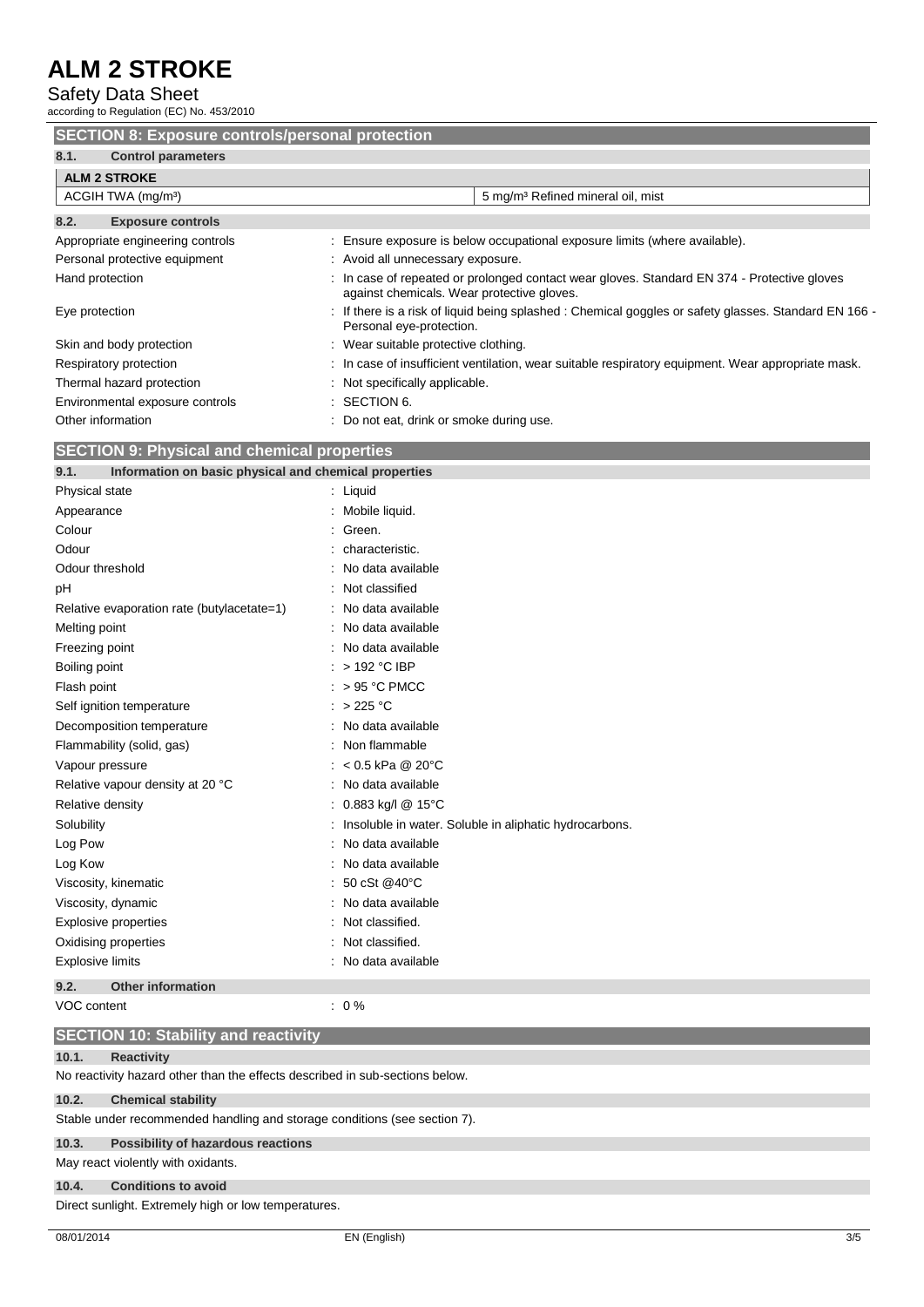Safety Data Sheet

according to Regulation (EC) No. 453/2010

| <b>SECTION 8: Exposure controls/personal protection</b>                                                                    |                                                                                                                                         |  |  |
|----------------------------------------------------------------------------------------------------------------------------|-----------------------------------------------------------------------------------------------------------------------------------------|--|--|
| 8.1.<br><b>Control parameters</b>                                                                                          |                                                                                                                                         |  |  |
| <b>ALM 2 STROKE</b>                                                                                                        |                                                                                                                                         |  |  |
| ACGIH TWA (mg/m <sup>3</sup> )                                                                                             | 5 mg/m <sup>3</sup> Refined mineral oil, mist                                                                                           |  |  |
| 8.2.<br><b>Exposure controls</b>                                                                                           |                                                                                                                                         |  |  |
| Appropriate engineering controls                                                                                           | Ensure exposure is below occupational exposure limits (where available).                                                                |  |  |
| Personal protective equipment                                                                                              | : Avoid all unnecessary exposure.                                                                                                       |  |  |
| Hand protection                                                                                                            | In case of repeated or prolonged contact wear gloves. Standard EN 374 - Protective gloves<br>against chemicals. Wear protective gloves. |  |  |
| Eye protection                                                                                                             | If there is a risk of liquid being splashed : Chemical goggles or safety glasses. Standard EN 166 -<br>Personal eye-protection.         |  |  |
| Skin and body protection<br>: Wear suitable protective clothing.                                                           |                                                                                                                                         |  |  |
| In case of insufficient ventilation, wear suitable respiratory equipment. Wear appropriate mask.<br>Respiratory protection |                                                                                                                                         |  |  |
| Thermal hazard protection                                                                                                  | Not specifically applicable.                                                                                                            |  |  |
| Environmental exposure controls                                                                                            | SECTION 6.                                                                                                                              |  |  |
| Other information                                                                                                          | Do not eat, drink or smoke during use.                                                                                                  |  |  |
| <b>SECTION 9: Physical and chemical properties</b>                                                                         |                                                                                                                                         |  |  |
| Information on basic physical and chemical properties<br>9.1.                                                              |                                                                                                                                         |  |  |

| Physical state                             | : Liquid                                               |
|--------------------------------------------|--------------------------------------------------------|
| Appearance                                 | Mobile liquid.                                         |
| Colour                                     | Green.                                                 |
| Odour                                      | characteristic.                                        |
| Odour threshold                            | No data available                                      |
| рH                                         | Not classified                                         |
| Relative evaporation rate (butylacetate=1) | No data available                                      |
| Melting point                              | No data available                                      |
| Freezing point                             | : No data available                                    |
| Boiling point                              | > 192 °C IBP                                           |
| Flash point                                | $> 95 °C$ PMCC                                         |
| Self ignition temperature                  | $>225$ °C                                              |
| Decomposition temperature                  | : No data available                                    |
| Flammability (solid, gas)                  | Non flammable                                          |
| Vapour pressure                            | : $< 0.5$ kPa @ 20°C                                   |
| Relative vapour density at 20 °C           | No data available                                      |
| Relative density                           | : $0.883$ kg/l @ 15°C                                  |
| Solubility                                 | Insoluble in water. Soluble in aliphatic hydrocarbons. |
| Log Pow                                    | : No data available                                    |
| Log Kow                                    | No data available                                      |
| Viscosity, kinematic                       | 50 cSt @40°C                                           |
| Viscosity, dynamic                         | No data available                                      |
| <b>Explosive properties</b>                | Not classified.                                        |
| Oxidising properties                       | Not classified.                                        |
| <b>Explosive limits</b>                    | No data available                                      |

**9.2. Other information**

VOC content  $\qquad \qquad : 0\%$ 

# **SECTION 10: Stability and reactivity**

### **10.1. Reactivity**

No reactivity hazard other than the effects described in sub-sections below.

### **10.2. Chemical stability**

Stable under recommended handling and storage conditions (see section 7).

### **10.3. Possibility of hazardous reactions**

### May react violently with oxidants.

**10.4. Conditions to avoid**

Direct sunlight. Extremely high or low temperatures.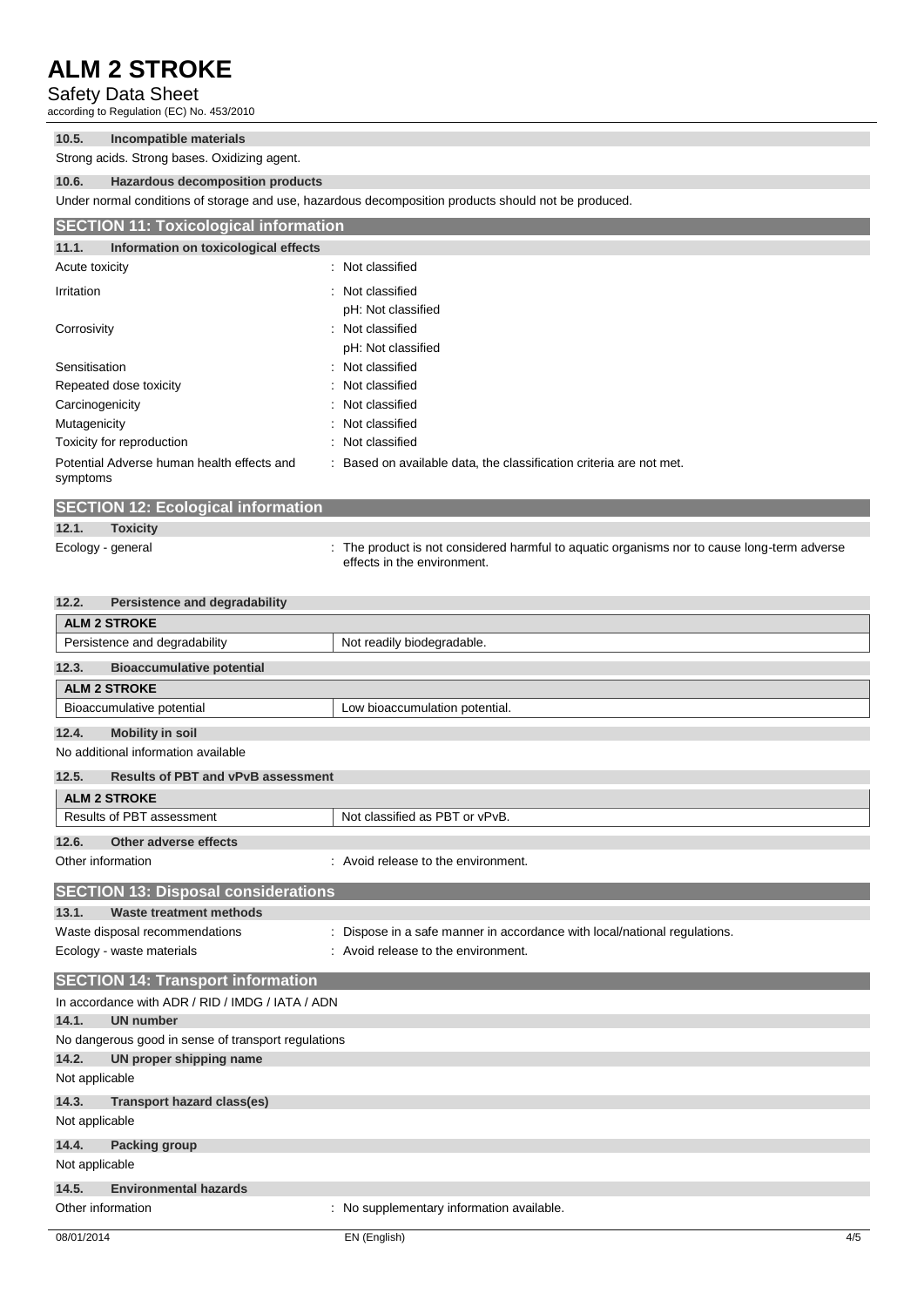Safety Data Sheet

according to Regulation (EC) No. 453/2010

| 10.5. | Incompatible materials                       |  |
|-------|----------------------------------------------|--|
|       | Strong acids. Strong bases. Oxidizing agent. |  |

### **10.6. Hazardous decomposition products**

Under normal conditions of storage and use, hazardous decomposition products should not be produced.

| <b>SECTION 11: Toxicological information</b>                 |                                                                     |  |
|--------------------------------------------------------------|---------------------------------------------------------------------|--|
| Information on toxicological effects<br>11.1.                |                                                                     |  |
| Acute toxicity                                               | : Not classified                                                    |  |
| Irritation                                                   | : Not classified<br>pH: Not classified                              |  |
| Corrosivity                                                  | : Not classified<br>pH: Not classified                              |  |
| Sensitisation                                                | : Not classified                                                    |  |
| Repeated dose toxicity                                       | : Not classified                                                    |  |
| Carcinogenicity                                              | : Not classified                                                    |  |
| Mutagenicity                                                 | Not classified<br>÷.                                                |  |
| Toxicity for reproduction                                    | : Not classified                                                    |  |
| Potential Adverse human health effects and<br>symptoms<br>__ | : Based on available data, the classification criteria are not met. |  |

|                   | <b>SECTION 12: Ecological information</b> |                                                                                                                            |
|-------------------|-------------------------------------------|----------------------------------------------------------------------------------------------------------------------------|
| 12.1.             | <b>Toxicity</b>                           |                                                                                                                            |
| Ecology - general |                                           | : The product is not considered harmful to aquatic organisms nor to cause long-term adverse<br>effects in the environment. |

|  | 12.2. | <b>Persistence and degradability</b> |  |
|--|-------|--------------------------------------|--|
|--|-------|--------------------------------------|--|

| <b>ALM 2 STROKE</b>                                 |                                                                           |  |
|-----------------------------------------------------|---------------------------------------------------------------------------|--|
| Persistence and degradability                       | Not readily biodegradable.                                                |  |
| 12.3.<br><b>Bioaccumulative potential</b>           |                                                                           |  |
| <b>ALM 2 STROKE</b>                                 |                                                                           |  |
| Bioaccumulative potential                           | Low bioaccumulation potential.                                            |  |
| 12.4.<br><b>Mobility in soil</b>                    |                                                                           |  |
| No additional information available                 |                                                                           |  |
| <b>Results of PBT and vPvB assessment</b><br>12.5.  |                                                                           |  |
| <b>ALM 2 STROKE</b>                                 |                                                                           |  |
| Results of PBT assessment                           | Not classified as PBT or vPvB.                                            |  |
| 12.6.<br>Other adverse effects                      |                                                                           |  |
| Other information                                   | : Avoid release to the environment.                                       |  |
| <b>SECTION 13: Disposal considerations</b>          |                                                                           |  |
| 13.1.<br>Waste treatment methods                    |                                                                           |  |
| Waste disposal recommendations                      | : Dispose in a safe manner in accordance with local/national regulations. |  |
| Ecology - waste materials                           | : Avoid release to the environment.                                       |  |
| <b>SECTION 14: Transport information</b>            |                                                                           |  |
| In accordance with ADR / RID / IMDG / IATA / ADN    |                                                                           |  |
| 14.1.<br><b>UN number</b>                           |                                                                           |  |
| No dangerous good in sense of transport regulations |                                                                           |  |
| 14.2.<br>UN proper shipping name                    |                                                                           |  |
| Not applicable                                      |                                                                           |  |
| 14.3.<br>Transport hazard class(es)                 |                                                                           |  |
| Not applicable                                      |                                                                           |  |
| 14.4.<br><b>Packing group</b>                       |                                                                           |  |
| Not applicable                                      |                                                                           |  |
| 14.5.<br><b>Environmental hazards</b>               |                                                                           |  |
| Other information                                   | : No supplementary information available.                                 |  |